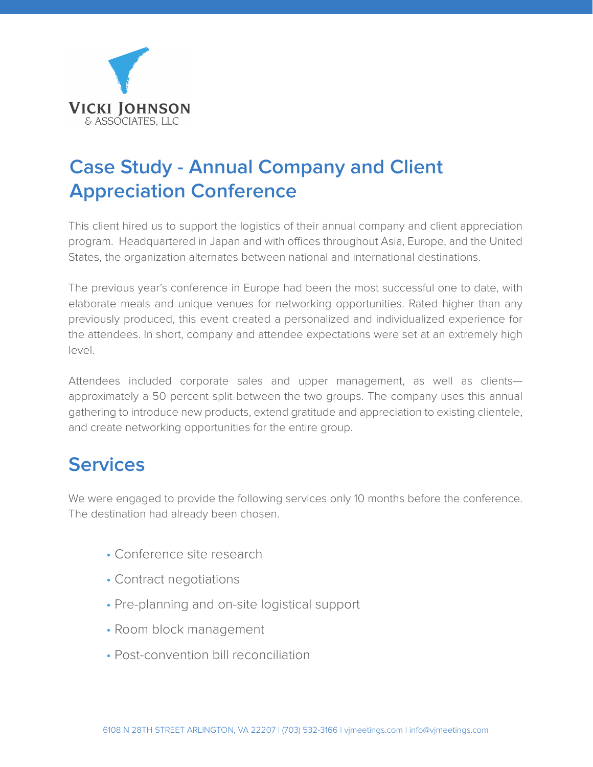

# **Case Study - Annual Company and Client Appreciation Conference**

This client hired us to support the logistics of their annual company and client appreciation program. Headquartered in Japan and with offices throughout Asia, Europe, and the United States, the organization alternates between national and international destinations.

The previous year's conference in Europe had been the most successful one to date, with elaborate meals and unique venues for networking opportunities. Rated higher than any previously produced, this event created a personalized and individualized experience for the attendees. In short, company and attendee expectations were set at an extremely high level.

Attendees included corporate sales and upper management, as well as clients approximately a 50 percent split between the two groups. The company uses this annual gathering to introduce new products, extend gratitude and appreciation to existing clientele, and create networking opportunities for the entire group.

## **Services**

We were engaged to provide the following services only 10 months before the conference. The destination had already been chosen.

- Conference site research
- Contract negotiations
- Pre-planning and on-site logistical support
- Room block management
- Post-convention bill reconciliation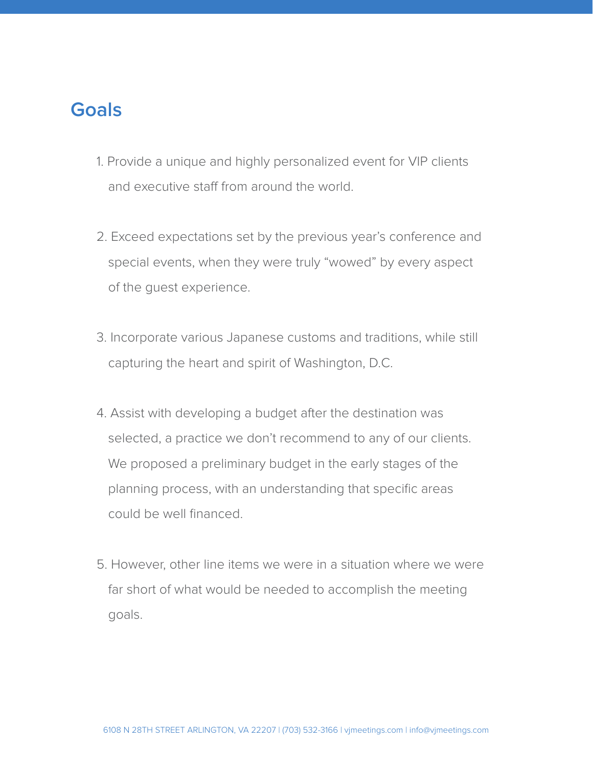### **Goals**

- 1. Provide a unique and highly personalized event for VIP clients and executive staff from around the world.
- 2. Exceed expectations set by the previous year's conference and special events, when they were truly "wowed" by every aspect of the guest experience.
- 3. Incorporate various Japanese customs and traditions, while still capturing the heart and spirit of Washington, D.C.
- 4. Assist with developing a budget after the destination was selected, a practice we don't recommend to any of our clients. We proposed a preliminary budget in the early stages of the planning process, with an understanding that specific areas could be well financed.
- 5. However, other line items we were in a situation where we were far short of what would be needed to accomplish the meeting goals.